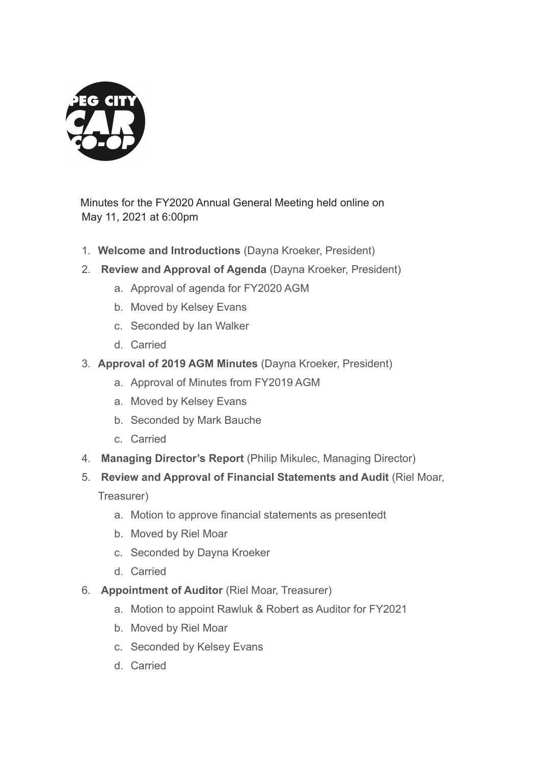

 Minutes for the FY2020 Annual General Meeting held online on May 11, 2021 at 6:00pm

- 1. **Welcome and Introductions** (Dayna Kroeker, President)
- 2. **Review and Approval of Agenda** (Dayna Kroeker, President)
	- a. Approval of agenda for FY2020 AGM
	- b. Moved by Kelsey Evans
	- c. Seconded by Ian Walker
	- d. Carried
- 3. **Approval of 2019 AGM Minutes** (Dayna Kroeker, President)
	- a. Approval of Minutes from FY2019 AGM
	- a. Moved by Kelsey Evans
	- b. Seconded by Mark Bauche
	- c. Carried
- 4. **Managing Director's Report** (Philip Mikulec, Managing Director)
- 5. **Review and Approval of Financial Statements and Audit** (Riel Moar,

Treasurer)

- a. Motion to approve financial statements as presentedt
- b. Moved by Riel Moar
- c. Seconded by Dayna Kroeker
- d. Carried
- 6. **Appointment of Auditor** (Riel Moar, Treasurer)
	- a. Motion to appoint Rawluk & Robert as Auditor for FY2021
	- b. Moved by Riel Moar
	- c. Seconded by Kelsey Evans
	- d. Carried